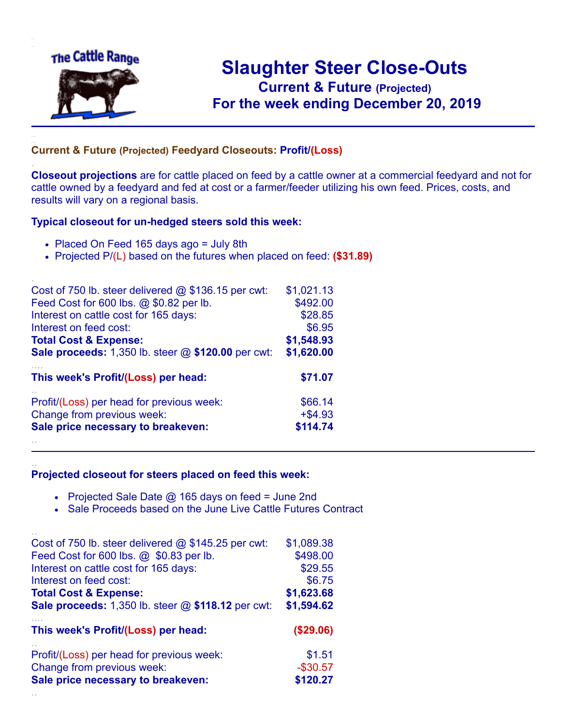

.

..

..

## **Slaughter Steer Close-Outs Current & Future (Projected)** .**For the week ending December 20, 2019**

## **Current & Future (Projected) Feedyard Closeouts: Profit/(Loss)**

**Closeout projections** are for cattle placed on feed by a cattle owner at a commercial feedyard and not for cattle owned by a feedyard and fed at cost or a farmer/feeder utilizing his own feed. Prices, costs, and results will vary on a regional basis.

## **Typical closeout for un-hedged steers sold this week:**

- Placed On Feed 165 days ago = July 8th
- Projected P/(L) based on the futures when placed on feed: **(\$31.89)**

| Cost of 750 lb. steer delivered $@$ \$136.15 per cwt: | \$1,021.13 |
|-------------------------------------------------------|------------|
| Feed Cost for 600 lbs. @ \$0.82 per lb.               | \$492.00   |
| Interest on cattle cost for 165 days:                 | \$28.85    |
| Interest on feed cost:                                | \$6.95     |
| <b>Total Cost &amp; Expense:</b>                      | \$1,548.93 |
| Sale proceeds: 1,350 lb. steer @ \$120.00 per cwt:    | \$1,620.00 |
| This week's Profit/(Loss) per head:                   | \$71.07    |
| Profit/(Loss) per head for previous week:             | \$66.14    |
| Change from previous week:                            | $+$ \$4.93 |
| Sale price necessary to breakeven:                    | \$114.74   |
|                                                       |            |

## **Projected closeout for steers placed on feed this week:**

- Projected Sale Date  $@$  165 days on feed = June 2nd
- Sale Proceeds based on the June Live Cattle Futures Contract

| Cost of 750 lb. steer delivered $@$ \$145.25 per cwt:       | \$1,089.38 |
|-------------------------------------------------------------|------------|
| Feed Cost for 600 lbs. @ \$0.83 per lb.                     | \$498.00   |
| Interest on cattle cost for 165 days:                       | \$29.55    |
| Interest on feed cost:                                      | \$6.75     |
| <b>Total Cost &amp; Expense:</b>                            | \$1,623.68 |
| <b>Sale proceeds:</b> 1,350 lb. steer $@$ \$118.12 per cwt: | \$1,594.62 |
|                                                             |            |
| This week's Profit/(Loss) per head:                         | (\$29.06)  |
| Profit/(Loss) per head for previous week:                   | \$1.51     |
| Change from previous week:                                  | $-$30.57$  |
| Sale price necessary to breakeven:                          | \$120.27   |